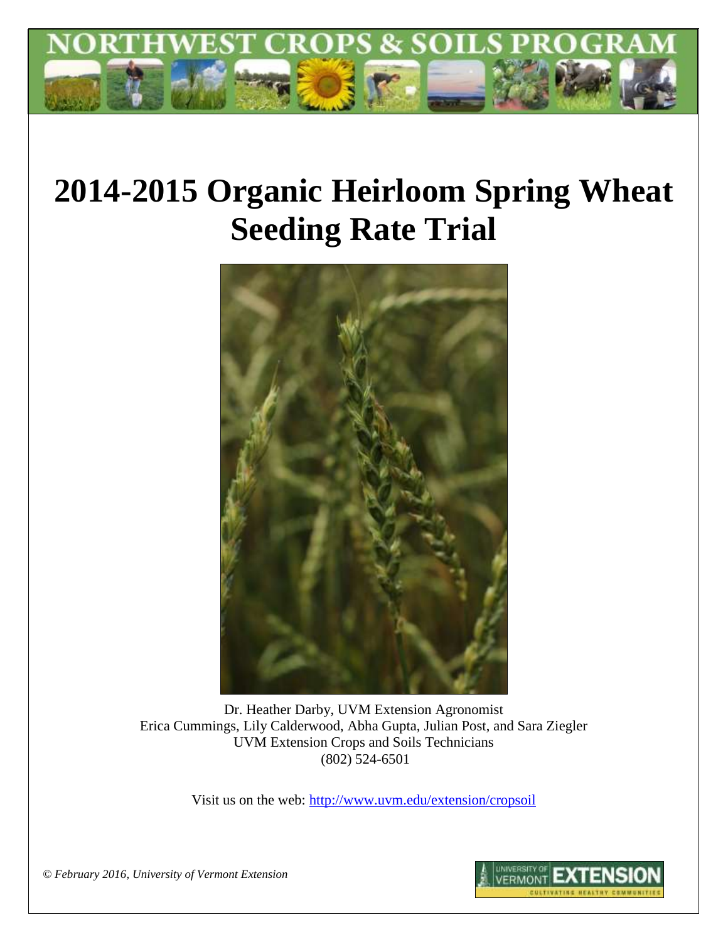

# **2014-2015 Organic Heirloom Spring Wheat Seeding Rate Trial**



Dr. Heather Darby, UVM Extension Agronomist Erica Cummings, Lily Calderwood, Abha Gupta, Julian Post, and Sara Ziegler UVM Extension Crops and Soils Technicians (802) 524-6501

Visit us on the web:<http://www.uvm.edu/extension/cropsoil>

*© February 2016, University of Vermont Extension*

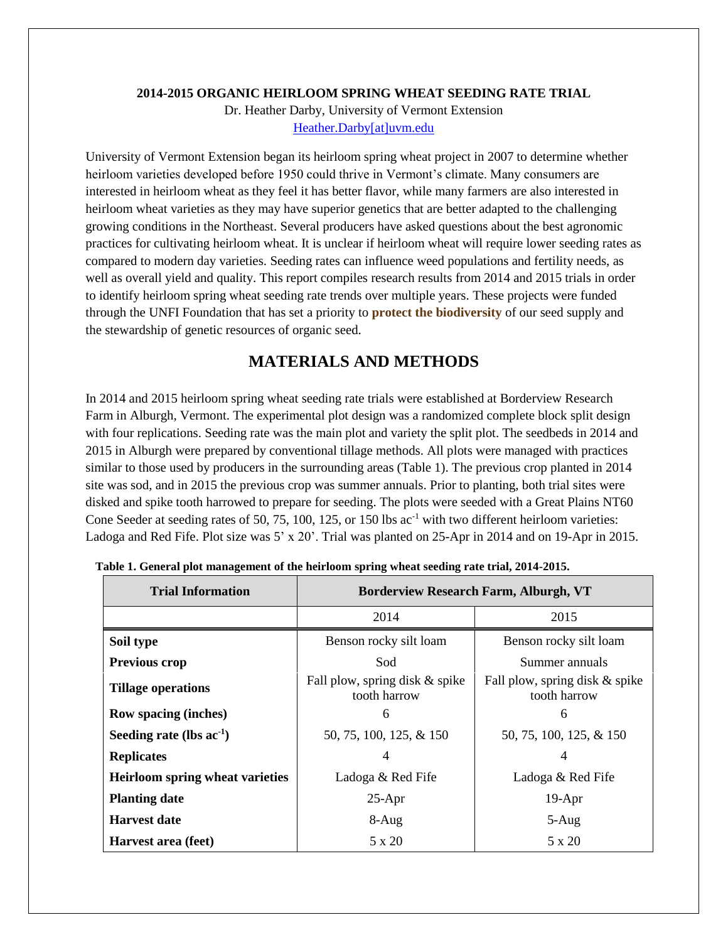#### **2014-2015 ORGANIC HEIRLOOM SPRING WHEAT SEEDING RATE TRIAL**

Dr. Heather Darby, University of Vermont Extension [Heather.Darby\[at\]uvm.edu](mailto:Heather.Darby@uvm.edu)

University of Vermont Extension began its heirloom spring wheat project in 2007 to determine whether heirloom varieties developed before 1950 could thrive in Vermont's climate. Many consumers are interested in heirloom wheat as they feel it has better flavor, while many farmers are also interested in heirloom wheat varieties as they may have superior genetics that are better adapted to the challenging growing conditions in the Northeast. Several producers have asked questions about the best agronomic practices for cultivating heirloom wheat. It is unclear if heirloom wheat will require lower seeding rates as compared to modern day varieties. Seeding rates can influence weed populations and fertility needs, as well as overall yield and quality. This report compiles research results from 2014 and 2015 trials in order to identify heirloom spring wheat seeding rate trends over multiple years. These projects were funded through the UNFI Foundation that has set a priority to **protect the biodiversity** of our seed supply and the stewardship of genetic resources of organic seed.

# **MATERIALS AND METHODS**

In 2014 and 2015 heirloom spring wheat seeding rate trials were established at Borderview Research Farm in Alburgh, Vermont. The experimental plot design was a randomized complete block split design with four replications. Seeding rate was the main plot and variety the split plot. The seedbeds in 2014 and 2015 in Alburgh were prepared by conventional tillage methods. All plots were managed with practices similar to those used by producers in the surrounding areas (Table 1). The previous crop planted in 2014 site was sod, and in 2015 the previous crop was summer annuals. Prior to planting, both trial sites were disked and spike tooth harrowed to prepare for seeding. The plots were seeded with a Great Plains NT60 Cone Seeder at seeding rates of 50, 75, 100, 125, or 150 lbs ac<sup>-1</sup> with two different heirloom varieties: Ladoga and Red Fife. Plot size was 5' x 20'. Trial was planted on 25-Apr in 2014 and on 19-Apr in 2015.

| <b>Trial Information</b>               | <b>Borderview Research Farm, Alburgh, VT</b>   |                                                |  |  |  |  |
|----------------------------------------|------------------------------------------------|------------------------------------------------|--|--|--|--|
|                                        | 2014                                           | 2015                                           |  |  |  |  |
| Soil type                              | Benson rocky silt loam                         | Benson rocky silt loam                         |  |  |  |  |
| Previous crop                          | Sod                                            | Summer annuals                                 |  |  |  |  |
| <b>Tillage operations</b>              | Fall plow, spring disk & spike<br>tooth harrow | Fall plow, spring disk & spike<br>tooth harrow |  |  |  |  |
| Row spacing (inches)                   | 6                                              | 6                                              |  |  |  |  |
| Seeding rate (lbs $ac^{-1}$ )          | 50, 75, 100, 125, & 150                        | 50, 75, 100, 125, & 150                        |  |  |  |  |
| <b>Replicates</b>                      | 4                                              | 4                                              |  |  |  |  |
| <b>Heirloom spring wheat varieties</b> | Ladoga & Red Fife                              | Ladoga & Red Fife                              |  |  |  |  |
| <b>Planting date</b>                   | $25-Apr$                                       | $19-Apr$                                       |  |  |  |  |
| <b>Harvest date</b>                    | $8-Aug$                                        | $5-Aug$                                        |  |  |  |  |
| Harvest area (feet)                    | 5 x 20                                         | 5 x 20                                         |  |  |  |  |

**Table 1. General plot management of the heirloom spring wheat seeding rate trial, 2014-2015.**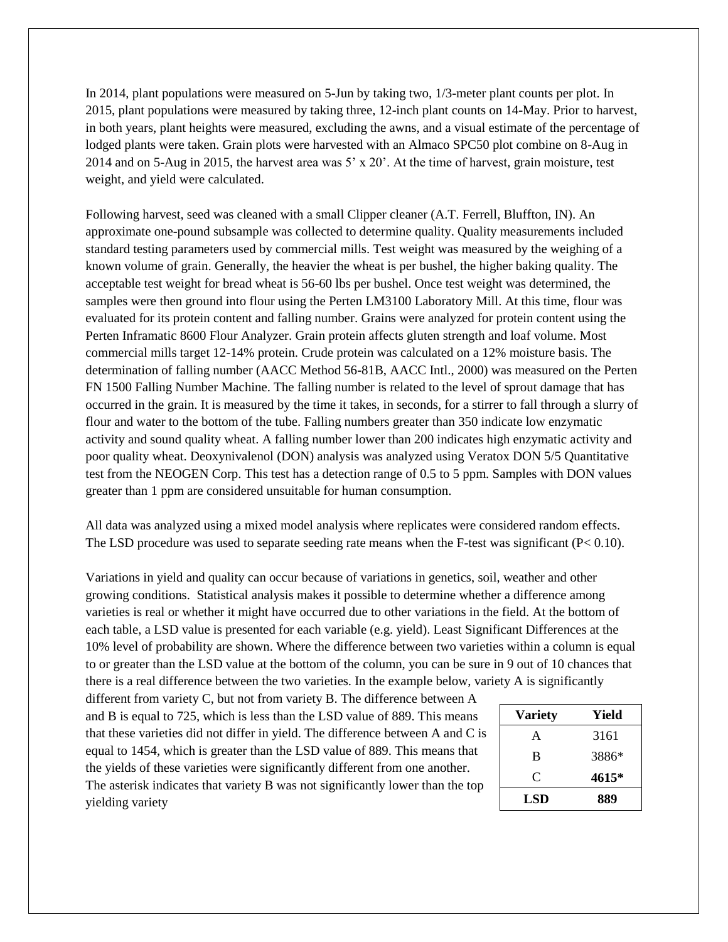In 2014, plant populations were measured on 5-Jun by taking two, 1/3-meter plant counts per plot. In 2015, plant populations were measured by taking three, 12-inch plant counts on 14-May. Prior to harvest, in both years, plant heights were measured, excluding the awns, and a visual estimate of the percentage of lodged plants were taken. Grain plots were harvested with an Almaco SPC50 plot combine on 8-Aug in 2014 and on 5-Aug in 2015, the harvest area was 5' x 20'. At the time of harvest, grain moisture, test weight, and yield were calculated.

Following harvest, seed was cleaned with a small Clipper cleaner (A.T. Ferrell, Bluffton, IN). An approximate one-pound subsample was collected to determine quality. Quality measurements included standard testing parameters used by commercial mills. Test weight was measured by the weighing of a known volume of grain. Generally, the heavier the wheat is per bushel, the higher baking quality. The acceptable test weight for bread wheat is 56-60 lbs per bushel. Once test weight was determined, the samples were then ground into flour using the Perten LM3100 Laboratory Mill. At this time, flour was evaluated for its protein content and falling number. Grains were analyzed for protein content using the Perten Inframatic 8600 Flour Analyzer. Grain protein affects gluten strength and loaf volume. Most commercial mills target 12-14% protein. Crude protein was calculated on a 12% moisture basis. The determination of falling number (AACC Method 56-81B, AACC Intl., 2000) was measured on the Perten FN 1500 Falling Number Machine. The falling number is related to the level of sprout damage that has occurred in the grain. It is measured by the time it takes, in seconds, for a stirrer to fall through a slurry of flour and water to the bottom of the tube. Falling numbers greater than 350 indicate low enzymatic activity and sound quality wheat. A falling number lower than 200 indicates high enzymatic activity and poor quality wheat. Deoxynivalenol (DON) analysis was analyzed using Veratox DON 5/5 Quantitative test from the NEOGEN Corp. This test has a detection range of 0.5 to 5 ppm. Samples with DON values greater than 1 ppm are considered unsuitable for human consumption.

All data was analyzed using a mixed model analysis where replicates were considered random effects. The LSD procedure was used to separate seeding rate means when the F-test was significant (P< 0.10).

Variations in yield and quality can occur because of variations in genetics, soil, weather and other growing conditions. Statistical analysis makes it possible to determine whether a difference among varieties is real or whether it might have occurred due to other variations in the field. At the bottom of each table, a LSD value is presented for each variable (e.g. yield). Least Significant Differences at the 10% level of probability are shown. Where the difference between two varieties within a column is equal to or greater than the LSD value at the bottom of the column, you can be sure in 9 out of 10 chances that there is a real difference between the two varieties. In the example below, variety A is significantly

different from variety C, but not from variety B. The difference between A and B is equal to 725, which is less than the LSD value of 889. This means that these varieties did not differ in yield. The difference between A and C is equal to 1454, which is greater than the LSD value of 889. This means that the yields of these varieties were significantly different from one another. The asterisk indicates that variety B was not significantly lower than the top yielding variety

| <b>Variety</b> | Yield |
|----------------|-------|
| A              | 3161  |
| B              | 3886* |
| C              | 4615* |
| LSD            | 889   |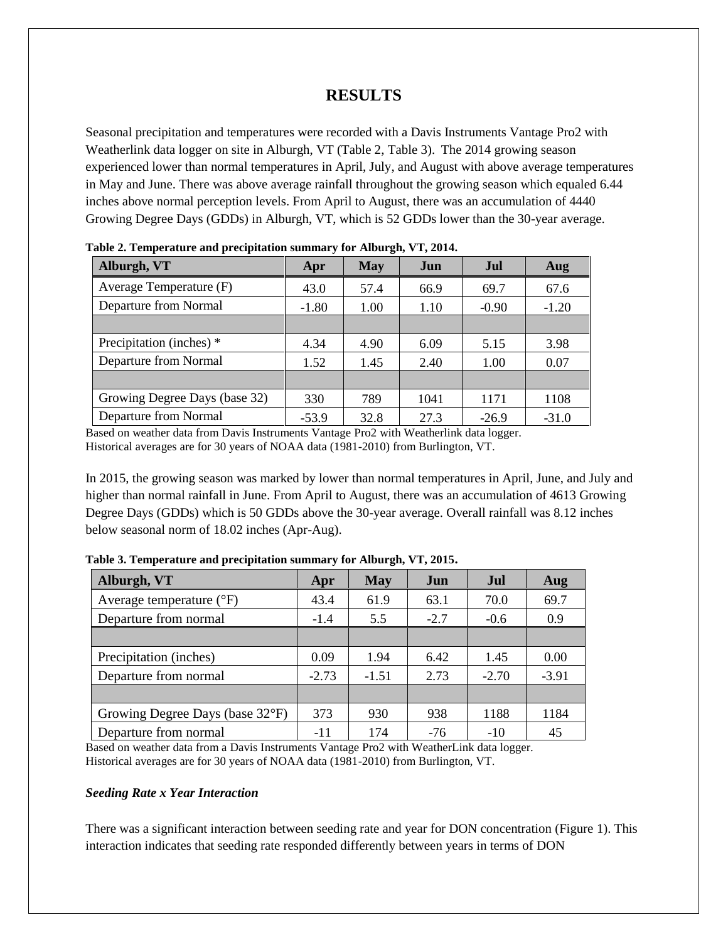# **RESULTS**

Seasonal precipitation and temperatures were recorded with a Davis Instruments Vantage Pro2 with Weatherlink data logger on site in Alburgh, VT (Table 2, Table 3). The 2014 growing season experienced lower than normal temperatures in April, July, and August with above average temperatures in May and June. There was above average rainfall throughout the growing season which equaled 6.44 inches above normal perception levels. From April to August, there was an accumulation of 4440 Growing Degree Days (GDDs) in Alburgh, VT, which is 52 GDDs lower than the 30-year average.

| <b>T</b> were $\blacksquare$ . The procedure the proceduration building $\blacksquare$ to the contract $\blacksquare$ , to $\blacksquare$ , the set if |         |            |      |            |         |  |  |  |  |  |
|--------------------------------------------------------------------------------------------------------------------------------------------------------|---------|------------|------|------------|---------|--|--|--|--|--|
| Alburgh, VT                                                                                                                                            | Apr     | <b>May</b> | Jun  | <b>Jul</b> | Aug     |  |  |  |  |  |
| Average Temperature (F)                                                                                                                                | 43.0    | 57.4       | 66.9 | 69.7       | 67.6    |  |  |  |  |  |
| Departure from Normal                                                                                                                                  | $-1.80$ | 1.00       | 1.10 | $-0.90$    | $-1.20$ |  |  |  |  |  |
|                                                                                                                                                        |         |            |      |            |         |  |  |  |  |  |
| Precipitation (inches) *                                                                                                                               | 4.34    | 4.90       | 6.09 | 5.15       | 3.98    |  |  |  |  |  |
| Departure from Normal                                                                                                                                  | 1.52    | 1.45       | 2.40 | 1.00       | 0.07    |  |  |  |  |  |
|                                                                                                                                                        |         |            |      |            |         |  |  |  |  |  |
| Growing Degree Days (base 32)                                                                                                                          | 330     | 789        | 1041 | 1171       | 1108    |  |  |  |  |  |
| Departure from Normal                                                                                                                                  | $-53.9$ | 32.8       | 27.3 | $-26.9$    | $-31.0$ |  |  |  |  |  |

**Table 2. Temperature and precipitation summary for Alburgh, VT, 2014.** 

Based on weather data from Davis Instruments Vantage Pro2 with Weatherlink data logger. Historical averages are for 30 years of NOAA data (1981-2010) from Burlington, VT.

In 2015, the growing season was marked by lower than normal temperatures in April, June, and July and higher than normal rainfall in June. From April to August, there was an accumulation of 4613 Growing Degree Days (GDDs) which is 50 GDDs above the 30-year average. Overall rainfall was 8.12 inches below seasonal norm of 18.02 inches (Apr-Aug).

| Alburgh, VT                       | Apr     | <b>May</b> | Jun    | Jul     | Aug     |
|-----------------------------------|---------|------------|--------|---------|---------|
| Average temperature $(^{\circ}F)$ | 43.4    | 61.9       | 63.1   | 70.0    | 69.7    |
| Departure from normal             | $-1.4$  | 5.5        | $-2.7$ | $-0.6$  | 0.9     |
|                                   |         |            |        |         |         |
| Precipitation (inches)            | 0.09    | 1.94       | 6.42   | 1.45    | 0.00    |
| Departure from normal             | $-2.73$ | $-1.51$    | 2.73   | $-2.70$ | $-3.91$ |
|                                   |         |            |        |         |         |
| Growing Degree Days (base 32°F)   | 373     | 930        | 938    | 1188    | 1184    |
| Departure from normal             | $-11$   | 174        | $-76$  | $-10$   | 45      |

**Table 3. Temperature and precipitation summary for Alburgh, VT, 2015.**

Based on weather data from a Davis Instruments Vantage Pro2 with WeatherLink data logger. Historical averages are for 30 years of NOAA data (1981-2010) from Burlington, VT.

#### *Seeding Rate x Year Interaction*

There was a significant interaction between seeding rate and year for DON concentration (Figure 1). This interaction indicates that seeding rate responded differently between years in terms of DON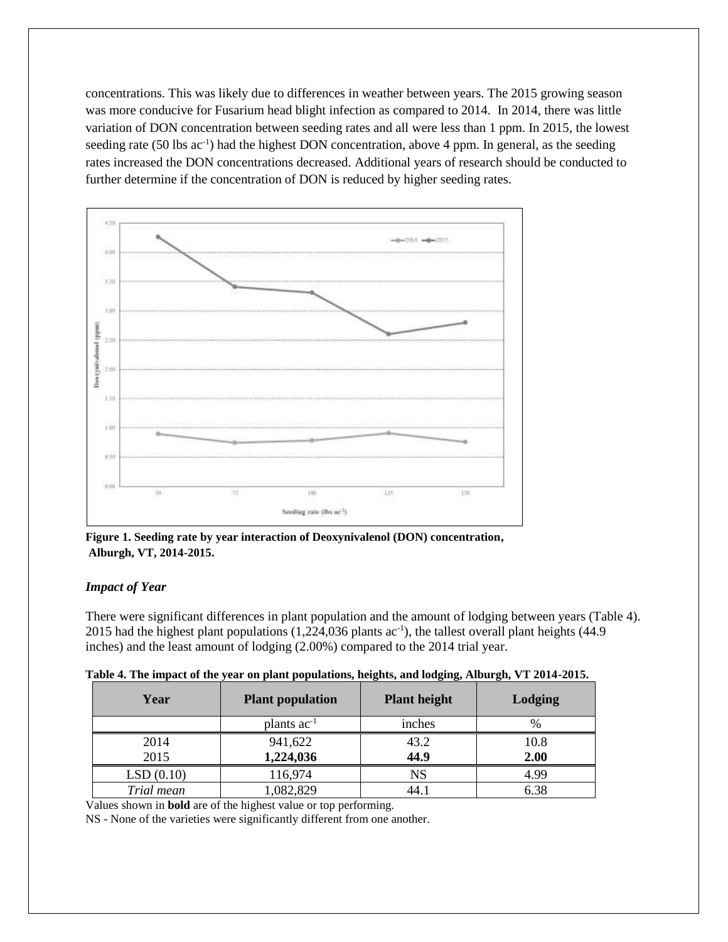concentrations. This was likely due to differences in weather between years. The 2015 growing season was more conducive for Fusarium head blight infection as compared to 2014. In 2014, there was little variation of DON concentration between seeding rates and all were less than 1 ppm. In 2015, the lowest seeding rate (50 lbs ac<sup>-1</sup>) had the highest DON concentration, above 4 ppm. In general, as the seeding rates increased the DON concentrations decreased. Additional years of research should be conducted to further determine if the concentration of DON is reduced by higher seeding rates.



**Figure 1. Seeding rate by year interaction of Deoxynivalenol (DON) concentration, Alburgh, VT, 2014-2015.** 

### *Impact of Year*

There were significant differences in plant population and the amount of lodging between years (Table 4). 2015 had the highest plant populations (1,224,036 plants ac<sup>-1</sup>), the tallest overall plant heights (44.9 inches) and the least amount of lodging (2.00%) compared to the 2014 trial year.

| Table 4. The impact of the year on plant populations, heights, and lodging, Alburgh, VT 2014-2015. |
|----------------------------------------------------------------------------------------------------|
|----------------------------------------------------------------------------------------------------|

| Year       | <b>Plant population</b> | <b>Plant height</b> | Lodging |  |  |
|------------|-------------------------|---------------------|---------|--|--|
|            | plants $ac^{-1}$        | inches              | $\%$    |  |  |
| 2014       | 941,622                 | 43.2                | 10.8    |  |  |
| 2015       | 1,224,036               | 44.9                | 2.00    |  |  |
| LSD(0.10)  | 116,974                 | <b>NS</b>           | 4.99    |  |  |
| Trial mean | ,082,829                | 44.1                | 6.38    |  |  |

Values shown in **bold** are of the highest value or top performing.

NS - None of the varieties were significantly different from one another.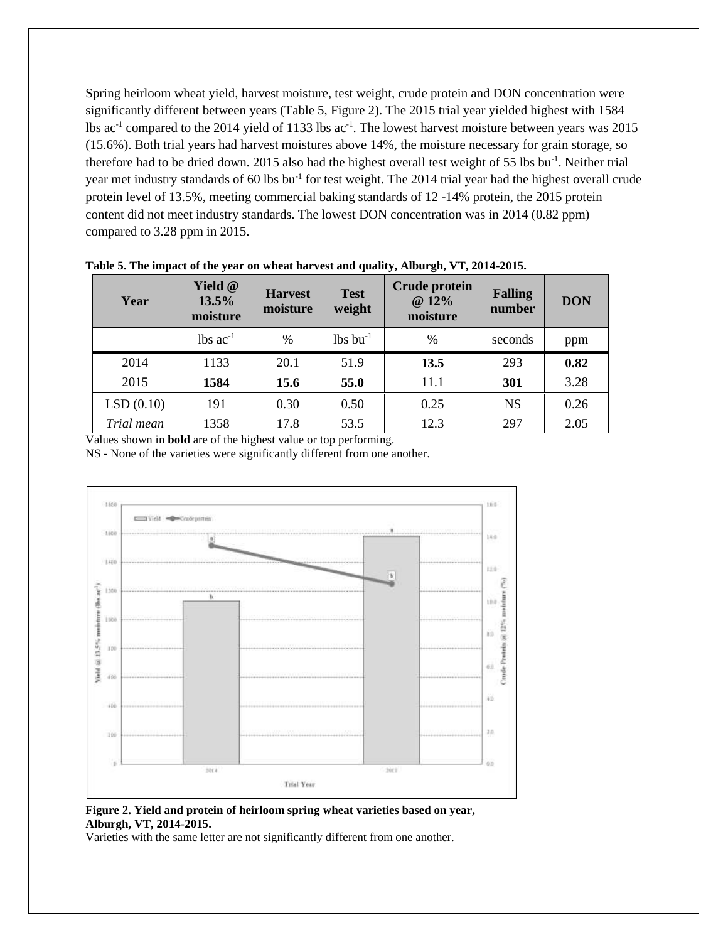Spring heirloom wheat yield, harvest moisture, test weight, crude protein and DON concentration were significantly different between years (Table 5, Figure 2). The 2015 trial year yielded highest with 1584 lbs  $ac<sup>-1</sup>$  compared to the 2014 yield of 1133 lbs  $ac<sup>-1</sup>$ . The lowest harvest moisture between years was 2015 (15.6%). Both trial years had harvest moistures above 14%, the moisture necessary for grain storage, so therefore had to be dried down. 2015 also had the highest overall test weight of 55 lbs bu<sup>-1</sup>. Neither trial year met industry standards of 60 lbs bu<sup>-1</sup> for test weight. The 2014 trial year had the highest overall crude protein level of 13.5%, meeting commercial baking standards of 12 -14% protein, the 2015 protein content did not meet industry standards. The lowest DON concentration was in 2014 (0.82 ppm) compared to 3.28 ppm in 2015.

| Year       | Yield @<br>13.5%<br>moisture | <b>Harvest</b><br>moisture | <b>Test</b><br>weight  | Crude protein<br>@ 12%<br>moisture | <b>Falling</b><br>number | <b>DON</b> |
|------------|------------------------------|----------------------------|------------------------|------------------------------------|--------------------------|------------|
|            | $lbs$ ac <sup>-1</sup>       | $\frac{0}{0}$              | $lbs$ bu <sup>-1</sup> | %                                  | seconds                  | ppm        |
| 2014       | 1133                         | 20.1                       | 51.9                   | 13.5                               | 293                      | 0.82       |
| 2015       | 1584                         | 15.6                       | 55.0                   | 11.1                               | 301                      | 3.28       |
| LSD(0.10)  | 191                          | 0.30                       | 0.50                   | 0.25                               | <b>NS</b>                | 0.26       |
| Trial mean | 1358                         | 17.8                       | 53.5                   | 12.3                               | 297                      | 2.05       |

**Table 5. The impact of the year on wheat harvest and quality, Alburgh, VT, 2014-2015.** 

Values shown in **bold** are of the highest value or top performing.

NS - None of the varieties were significantly different from one another.



**Figure 2. Yield and protein of heirloom spring wheat varieties based on year, Alburgh, VT, 2014-2015.** 

Varieties with the same letter are not significantly different from one another.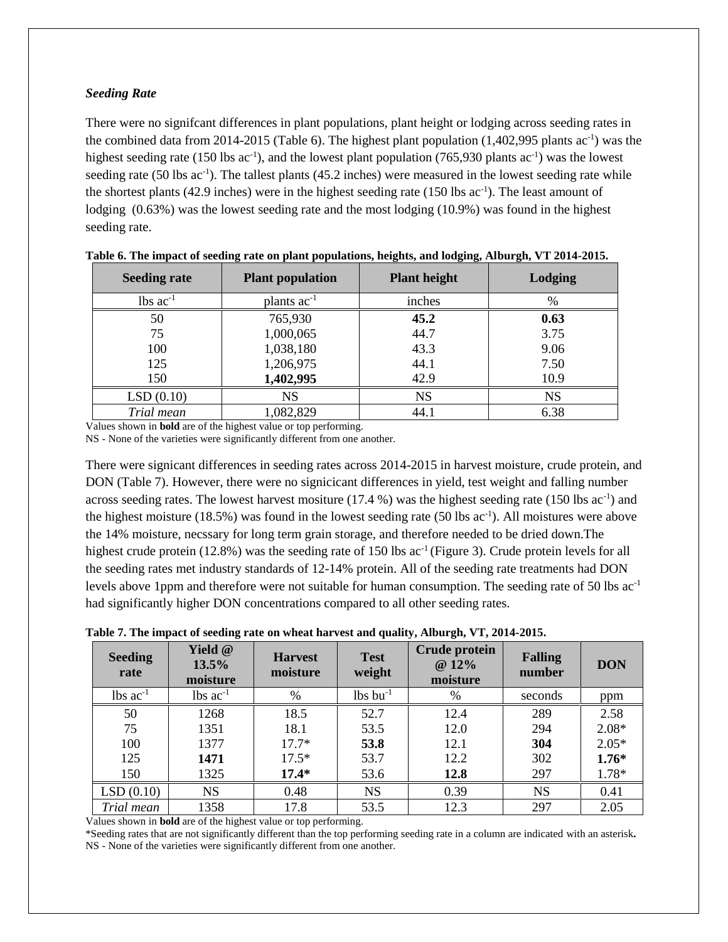#### *Seeding Rate*

There were no signifcant differences in plant populations, plant height or lodging across seeding rates in the combined data from 2014-2015 (Table 6). The highest plant population  $(1,402,995$  plants ac<sup>-1</sup>) was the highest seeding rate (150 lbs  $ac^{-1}$ ), and the lowest plant population (765,930 plants  $ac^{-1}$ ) was the lowest seeding rate  $(50 \text{ lbs } ac^{-1})$ . The tallest plants  $(45.2 \text{ inches})$  were measured in the lowest seeding rate while the shortest plants (42.9 inches) were in the highest seeding rate  $(150 \text{ lbs } ac^{-1})$ . The least amount of lodging (0.63%) was the lowest seeding rate and the most lodging (10.9%) was found in the highest seeding rate.

| <b>Seeding rate</b>    | <b>Plant population</b> | <b>Plant height</b> | Lodging   |
|------------------------|-------------------------|---------------------|-----------|
| $lbs$ ac <sup>-1</sup> | plants ac <sup>-1</sup> | inches              | $\%$      |
| 50                     | 765,930                 | 45.2                | 0.63      |
| 75                     | 1,000,065               | 44.7                | 3.75      |
| 100                    | 1,038,180               | 43.3                | 9.06      |
| 125                    | 1,206,975               | 44.1                | 7.50      |
| 150                    | 1,402,995               | 42.9                | 10.9      |
| LSD(0.10)              | NS                      | NS                  | <b>NS</b> |
| Trial mean             | 1,082,829               | 44.1                | 6.38      |

|  | Table 6. The impact of seeding rate on plant populations, heights, and lodging, Alburgh, VT 2014-2015. |  |  |  |  |  |
|--|--------------------------------------------------------------------------------------------------------|--|--|--|--|--|
|--|--------------------------------------------------------------------------------------------------------|--|--|--|--|--|

Values shown in **bold** are of the highest value or top performing.

NS - None of the varieties were significantly different from one another.

There were signicant differences in seeding rates across 2014-2015 in harvest moisture, crude protein, and DON (Table 7). However, there were no signicicant differences in yield, test weight and falling number across seeding rates. The lowest harvest mositure  $(17.4\%)$  was the highest seeding rate  $(150 \text{ lbs } ac^{-1})$  and the highest moisture  $(18.5\%)$  was found in the lowest seeding rate  $(50 \text{ lbs } ac^{-1})$ . All moistures were above the 14% moisture, necssary for long term grain storage, and therefore needed to be dried down.The highest crude protein (12.8%) was the seeding rate of 150 lbs ac<sup>-1</sup> (Figure 3). Crude protein levels for all the seeding rates met industry standards of 12-14% protein. All of the seeding rate treatments had DON levels above 1ppm and therefore were not suitable for human consumption. The seeding rate of 50 lbs ac-1 had significantly higher DON concentrations compared to all other seeding rates.

| <b>Seeding</b><br>rate | Yield @<br>13.5%<br>moisture | <b>Harvest</b><br>moisture | <b>Test</b><br>weight  | <b>Crude protein</b><br>@ 12%<br>moisture | <b>Falling</b><br>number | <b>DON</b> |
|------------------------|------------------------------|----------------------------|------------------------|-------------------------------------------|--------------------------|------------|
| $lbs$ ac <sup>-1</sup> | $lbs$ ac <sup>-1</sup>       | %                          | $lbs$ bu <sup>-1</sup> | $\%$                                      | seconds                  | ppm        |
| 50                     | 1268                         | 18.5                       | 52.7                   | 12.4                                      | 289                      | 2.58       |
| 75                     | 1351                         | 18.1                       | 53.5                   | 12.0                                      | 294                      | $2.08*$    |
| 100                    | 1377                         | $17.7*$                    | 53.8                   | 12.1                                      | 304                      | $2.05*$    |
| 125                    | 1471                         | $17.5*$                    | 53.7                   | 12.2                                      | 302                      | $1.76*$    |
| 150                    | 1325                         | $17.4*$                    | 53.6                   | 12.8                                      | 297                      | 1.78*      |
| LSD(0.10)              | <b>NS</b>                    | 0.48                       | <b>NS</b>              | 0.39                                      | <b>NS</b>                | 0.41       |
| Trial mean             | 1358                         | 17.8                       | 53.5                   | 12.3                                      | 297                      | 2.05       |

**Table 7. The impact of seeding rate on wheat harvest and quality, Alburgh, VT, 2014-2015.**

Values shown in **bold** are of the highest value or top performing.

\*Seeding rates that are not significantly different than the top performing seeding rate in a column are indicated with an asterisk**.**  NS - None of the varieties were significantly different from one another.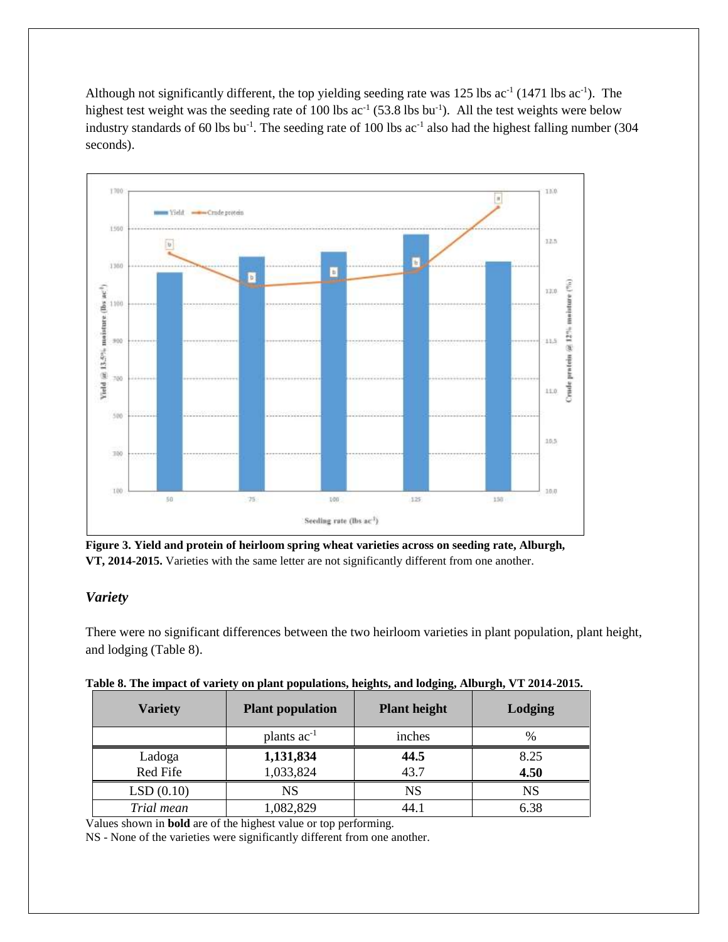Although not significantly different, the top yielding seeding rate was 125 lbs  $ac^{-1}$  (1471 lbs  $ac^{-1}$ ). The highest test weight was the seeding rate of 100 lbs  $ac^{-1}$  (53.8 lbs bu<sup>-1</sup>). All the test weights were below industry standards of 60 lbs bu<sup>-1</sup>. The seeding rate of 100 lbs  $ac^{-1}$  also had the highest falling number (304 seconds).



**Figure 3. Yield and protein of heirloom spring wheat varieties across on seeding rate, Alburgh, VT, 2014-2015.** Varieties with the same letter are not significantly different from one another.

## *Variety*

There were no significant differences between the two heirloom varieties in plant population, plant height, and lodging (Table 8).

| <b>Variety</b> | <b>Plant population</b> | <u>o oz</u><br><b>Plant height</b> | Lodging   |
|----------------|-------------------------|------------------------------------|-----------|
|                | plants $ac^{-1}$        | inches                             | $\%$      |
| Ladoga         | 1,131,834               | 44.5                               | 8.25      |
| Red Fife       | 1,033,824               | 43.7                               | 4.50      |
| LSD(0.10)      | NS                      | <b>NS</b>                          | <b>NS</b> |
| Trial mean     | 1,082,829               | 44.1                               | 6.38      |

|  |  |  |  | Table 8. The impact of variety on plant populations, heights, and lodging, Alburgh, VT 2014-2015. |  |  |  |
|--|--|--|--|---------------------------------------------------------------------------------------------------|--|--|--|
|  |  |  |  |                                                                                                   |  |  |  |

Values shown in **bold** are of the highest value or top performing.

NS - None of the varieties were significantly different from one another.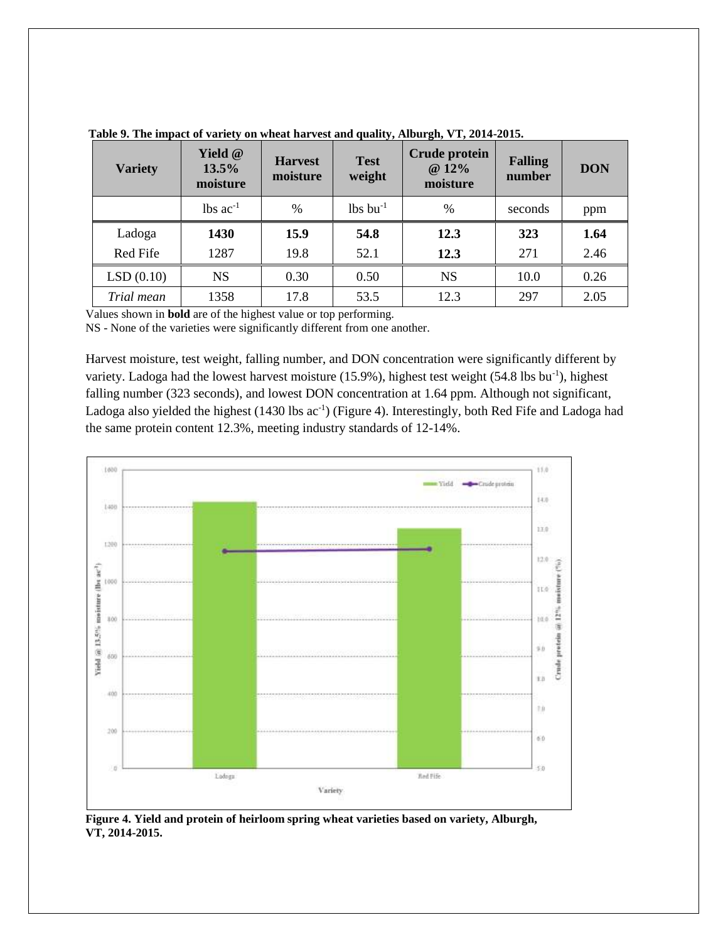| <b>Variety</b> | Yield @<br>13.5%<br>moisture | <b>Harvest</b><br>moisture | <b>Test</b><br>weight  | <b>Crude protein</b><br>@ 12%<br>moisture | <b>Falling</b><br>number | <b>DON</b> |
|----------------|------------------------------|----------------------------|------------------------|-------------------------------------------|--------------------------|------------|
|                | $lbs$ ac <sup>-1</sup>       | $\frac{0}{0}$              | $lbs$ bu <sup>-1</sup> | $\%$                                      | seconds                  | ppm        |
| Ladoga         | 1430                         | 15.9                       | 54.8                   | 12.3                                      | 323                      | 1.64       |
| Red Fife       | 1287                         | 19.8                       | 52.1                   | 12.3                                      | 271                      | 2.46       |
| LSD(0.10)      | <b>NS</b>                    | 0.30                       | 0.50                   | <b>NS</b>                                 | 10.0                     | 0.26       |
| Trial mean     | 1358                         | 17.8                       | 53.5                   | 12.3                                      | 297                      | 2.05       |

**Table 9. The impact of variety on wheat harvest and quality, Alburgh, VT, 2014-2015.** 

Values shown in **bold** are of the highest value or top performing.

NS - None of the varieties were significantly different from one another.

Harvest moisture, test weight, falling number, and DON concentration were significantly different by variety. Ladoga had the lowest harvest moisture (15.9%), highest test weight (54.8 lbs bu<sup>-1</sup>), highest falling number (323 seconds), and lowest DON concentration at 1.64 ppm. Although not significant, Ladoga also yielded the highest (1430 lbs ac<sup>-1</sup>) (Figure 4). Interestingly, both Red Fife and Ladoga had the same protein content 12.3%, meeting industry standards of 12-14%.



**Figure 4. Yield and protein of heirloom spring wheat varieties based on variety, Alburgh, VT, 2014-2015.**